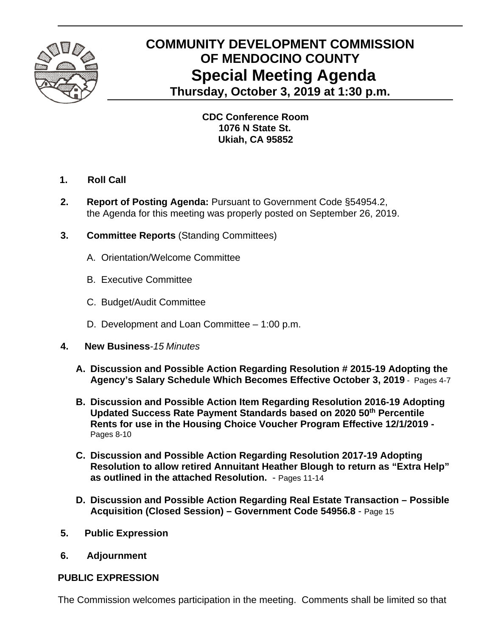

## **COMMUNITY DEVELOPMENT COMMISSION OF MENDOCINO COUNTY Special Meeting Agenda Thursday, October 3, 2019 at 1:30 p.m.**

 **CDC Conference Room 1076 N State St. Ukiah, CA 95852**

- **1. Roll Call**
- **2. Report of Posting Agenda:** Pursuant to Government Code §54954.2, the Agenda for this meeting was properly posted on September 26, 2019.
- **3. Committee Reports** (Standing Committees)
	- A.Orientation/Welcome Committee
	- B. Executive Committee
	- C. Budget/Audit Committee
	- D. Development and Loan Committee 1:00 p.m.
- **4. New Business***-15 Minutes* 
	- **A. Discussion and Possible Action Regarding Resolution # 2015-19 Adopting the Agency's Salary Schedule Which Becomes Effective October 3, 2019** - Pages 4-7
	- **B. Discussion and Possible Action Item Regarding Resolution 2016-19 Adopting Updated Success Rate Payment Standards based on 2020 50th Percentile Rents for use in the Housing Choice Voucher Program Effective 12/1/2019 -**  Pages 8-10
	- **C. Discussion and Possible Action Regarding Resolution 2017-19 Adopting Resolution to allow retired Annuitant Heather Blough to return as "Extra Help" as outlined in the attached Resolution.** - Pages 11-14
	- **D. Discussion and Possible Action Regarding Real Estate Transaction Possible Acquisition (Closed Session) – Government Code 54956.8** - Page 15
- **5. Public Expression**
- **6. Adjournment**

## **PUBLIC EXPRESSION**

The Commission welcomes participation in the meeting. Comments shall be limited so that